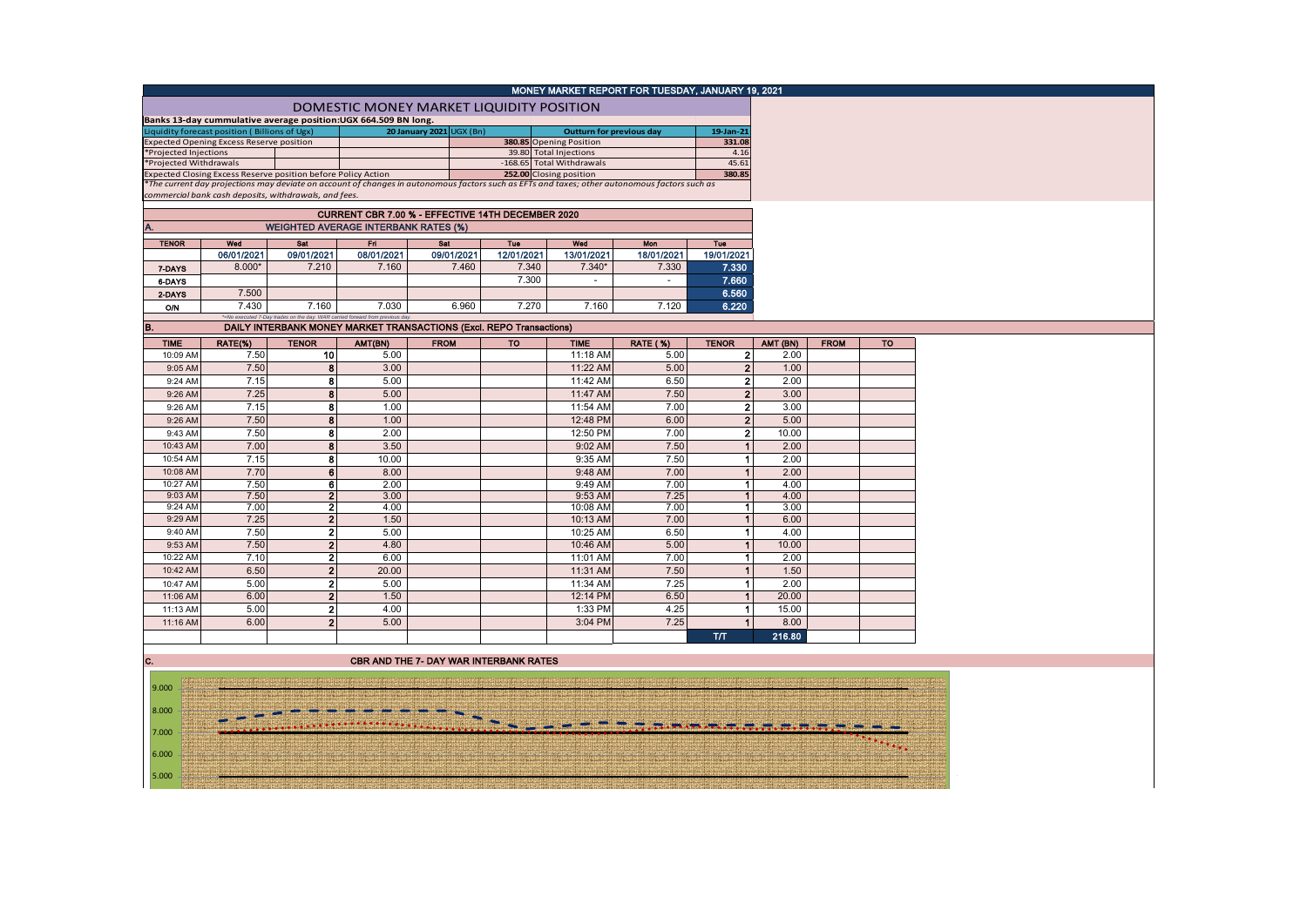|                        |                                                                                                  |                         |                                                                              |                          |            | MONEY MARKET REPORT FOR TUESDAY, JANUARY 19, 2021                                                                                             |                 |                      |          |             |           |
|------------------------|--------------------------------------------------------------------------------------------------|-------------------------|------------------------------------------------------------------------------|--------------------------|------------|-----------------------------------------------------------------------------------------------------------------------------------------------|-----------------|----------------------|----------|-------------|-----------|
|                        |                                                                                                  |                         |                                                                              |                          |            |                                                                                                                                               |                 |                      |          |             |           |
|                        |                                                                                                  |                         | DOMESTIC MONEY MARKET LIQUIDITY POSITION                                     |                          |            |                                                                                                                                               |                 |                      |          |             |           |
|                        | Banks 13-day cummulative average position:UGX 664.509 BN long.                                   |                         |                                                                              |                          |            |                                                                                                                                               |                 |                      |          |             |           |
|                        | Liquidity forecast position (Billions of Ugx)<br><b>Expected Opening Excess Reserve position</b> |                         |                                                                              | 20 January 2021 UGX (Bn) |            | <b>Outturn for previous day</b><br>380.85 Opening Position                                                                                    |                 | 19-Jan-21<br>331.08  |          |             |           |
| *Projected Injections  |                                                                                                  |                         |                                                                              |                          |            | 39.80 Total Injections                                                                                                                        |                 | 4.16                 |          |             |           |
| *Projected Withdrawals |                                                                                                  |                         |                                                                              |                          |            | -168.65 Total Withdrawals                                                                                                                     |                 | 45.61                |          |             |           |
|                        | Expected Closing Excess Reserve position before Policy Action                                    |                         |                                                                              |                          |            | 252.00 Closing position                                                                                                                       |                 | 380.85               |          |             |           |
|                        |                                                                                                  |                         |                                                                              |                          |            | *The current day projections may deviate on account of changes in autonomous factors such as EFTs and taxes; other autonomous factors such as |                 |                      |          |             |           |
|                        | commercial bank cash deposits, withdrawals, and fees.                                            |                         |                                                                              |                          |            |                                                                                                                                               |                 |                      |          |             |           |
|                        |                                                                                                  |                         | CURRENT CBR 7.00 % - EFFECTIVE 14TH DECEMBER 2020                            |                          |            |                                                                                                                                               |                 |                      |          |             |           |
| A.                     | <b>WEIGHTED AVERAGE INTERBANK RATES (%)</b>                                                      |                         |                                                                              |                          |            |                                                                                                                                               |                 |                      |          |             |           |
| <b>TENOR</b>           | Wed                                                                                              | Sat                     | Fri                                                                          | Sat                      | Tue        | Wed                                                                                                                                           | <b>Mon</b>      | Tue                  |          |             |           |
|                        | 06/01/2021                                                                                       | 09/01/2021              | 08/01/2021                                                                   | 09/01/2021               | 12/01/2021 | 13/01/2021                                                                                                                                    | 18/01/2021      | 19/01/2021           |          |             |           |
| 7-DAYS                 | 8.000*                                                                                           | 7.210                   | 7.160                                                                        | 7.460                    | 7.340      | $7.340*$                                                                                                                                      | 7.330           | 7.330                |          |             |           |
| 6-DAYS                 |                                                                                                  |                         |                                                                              |                          | 7.300      | $\sim$                                                                                                                                        | $\sim$          | 7.660                |          |             |           |
| 2-DAYS                 | 7.500                                                                                            |                         |                                                                              |                          |            |                                                                                                                                               |                 | 6.560                |          |             |           |
|                        | 7.430                                                                                            | 7.160                   | 7.030                                                                        | 6.960                    | 7.270      | 7.160                                                                                                                                         | 7.120           | 6.220                |          |             |           |
| 0/N                    |                                                                                                  |                         | *=No executed 7-Day trades on the day. WAR carried forward from previous day |                          |            |                                                                                                                                               |                 |                      |          |             |           |
| B.                     |                                                                                                  |                         | DAILY INTERBANK MONEY MARKET TRANSACTIONS (Excl. REPO Transactions)          |                          |            |                                                                                                                                               |                 |                      |          |             |           |
| <b>TIME</b>            | RATE(%)                                                                                          | <b>TENOR</b>            | AMT(BN)                                                                      | <b>FROM</b>              | <b>TO</b>  | <b>TIME</b>                                                                                                                                   | <b>RATE (%)</b> | <b>TENOR</b>         | AMT (BN) | <b>FROM</b> | <b>TO</b> |
| 10:09 AM               | 7.50                                                                                             | 10                      | 5.00                                                                         |                          |            | 11:18 AM                                                                                                                                      | 5.00            | 2 <sub>1</sub>       | 2.00     |             |           |
| 9:05 AM                | 7.50                                                                                             | 8                       | 3.00                                                                         |                          |            | 11:22 AM                                                                                                                                      | 5.00            | 2 <sup>1</sup>       | 1.00     |             |           |
| 9:24 AM                | 7.15                                                                                             | 8                       | 5.00                                                                         |                          |            | 11:42 AM                                                                                                                                      | 6.50            | $\mathbf{2}$         | 2.00     |             |           |
| 9:26 AM                | 7.25                                                                                             | 8                       | 5.00                                                                         |                          |            | 11:47 AM                                                                                                                                      | 7.50            | 2 <sup>1</sup>       | 3.00     |             |           |
| 9:26 AM                | 7.15                                                                                             | 8                       | 1.00                                                                         |                          |            | 11:54 AM                                                                                                                                      | 7.00            | $\mathbf{2}$         | 3.00     |             |           |
| 9:26 AM                | 7.50                                                                                             | 8                       | 1.00                                                                         |                          |            | 12:48 PM                                                                                                                                      | 6.00            | 2 <sup>2</sup>       | 5.00     |             |           |
| 9:43 AM                | 7.50                                                                                             | 8                       | 2.00                                                                         |                          |            | 12:50 PM                                                                                                                                      | 7.00            | 2 <sup>1</sup>       | 10.00    |             |           |
| 10:43 AM               | 7.00                                                                                             | 8                       | 3.50                                                                         |                          |            | 9:02 AM                                                                                                                                       | 7.50            | $\blacktriangleleft$ | 2.00     |             |           |
| 10:54 AM               | 7.15                                                                                             | 8                       | 10.00                                                                        |                          |            | 9:35 AM                                                                                                                                       | 7.50            | 1                    | 2.00     |             |           |
| 10:08 AM               | 7.70                                                                                             | 6                       | 8.00                                                                         |                          |            | 9:48 AM                                                                                                                                       | 7.00            |                      | 2.00     |             |           |
| 10:27 AM               | 7.50                                                                                             | $\overline{6}$          | 2.00                                                                         |                          |            | $9:49$ AM                                                                                                                                     | 7.00            | $\blacksquare$       | 4.00     |             |           |
| 9:03 AM                | 7.50                                                                                             | $\overline{\mathbf{2}}$ | 3.00                                                                         |                          |            | 9:53 AM                                                                                                                                       | 7.25            | 1                    | 4.00     |             |           |
| 9:24 AM                | 7.00                                                                                             | 2                       | 4.00                                                                         |                          |            | 10:08 AM                                                                                                                                      | 7.00            | $\blacksquare$       | 3.00     |             |           |
| 9:29 AM                | 7.25                                                                                             | $\overline{2}$          | 1.50                                                                         |                          |            | 10:13 AM                                                                                                                                      | 7.00            | $\blacktriangleleft$ | 6.00     |             |           |
| 9:40 AM                | 7.50                                                                                             | $\mathbf{2}$            | 5.00                                                                         |                          |            | 10:25 AM                                                                                                                                      | 6.50            | 1                    | 4.00     |             |           |
| 9:53 AM                | 7.50                                                                                             | $\mathbf 2$             | 4.80                                                                         |                          |            | 10:46 AM                                                                                                                                      | 5.00            | $\blacksquare$       | 10.00    |             |           |
| 10:22 AM               | 7.10                                                                                             | $\mathbf{2}$            | 6.00                                                                         |                          |            | 11:01 AM                                                                                                                                      | 7.00            | $\blacksquare$       | 2.00     |             |           |
| 10:42 AM               | 6.50                                                                                             | $\overline{2}$          | 20.00                                                                        |                          |            | 11:31 AM                                                                                                                                      | 7.50            |                      | 1.50     |             |           |
| 10:47 AM               | 5.00                                                                                             | $\overline{\mathbf{2}}$ | 5.00                                                                         |                          |            | 11:34 AM                                                                                                                                      | 7.25            |                      | 2.00     |             |           |
| 11:06 AM               | 6.00                                                                                             | $\overline{2}$          | 1.50                                                                         |                          |            | 12:14 PM                                                                                                                                      | 6.50            | $\blacksquare$       | 20.00    |             |           |
| 11:13 AM               | 5.00                                                                                             | $\bf{2}$                | 4.00                                                                         |                          |            | 1:33 PM                                                                                                                                       | 4.25            | 1                    | 15.00    |             |           |
| 11:16 AM               | 6.00                                                                                             | $\overline{2}$          | 5.00                                                                         |                          |            | 3:04 PM                                                                                                                                       | 7.25            |                      | 8.00     |             |           |
|                        |                                                                                                  |                         |                                                                              |                          |            |                                                                                                                                               |                 | T/T                  | 216,80   |             |           |
|                        |                                                                                                  |                         |                                                                              |                          |            |                                                                                                                                               |                 |                      |          |             |           |

**C.** CBR AND THE 7- DAY WAR INTERBANK RATES

9.000 <u> 227 - 228 - 239 - 230 - 240 - 240 - 240 - 240 - 240 - 240 - 250 - 250 - 250 - 250 - 250 - 250 - 250 - 250 - 2</u> 8.000 7.000 6.000 5.000 Altitorius der Arti tardi tardi tardi tardi tardi tardi tardi tardi tardi tardi tardi tardi tardi tardi tardi tardi tardi tardi tardi tardi tardi tard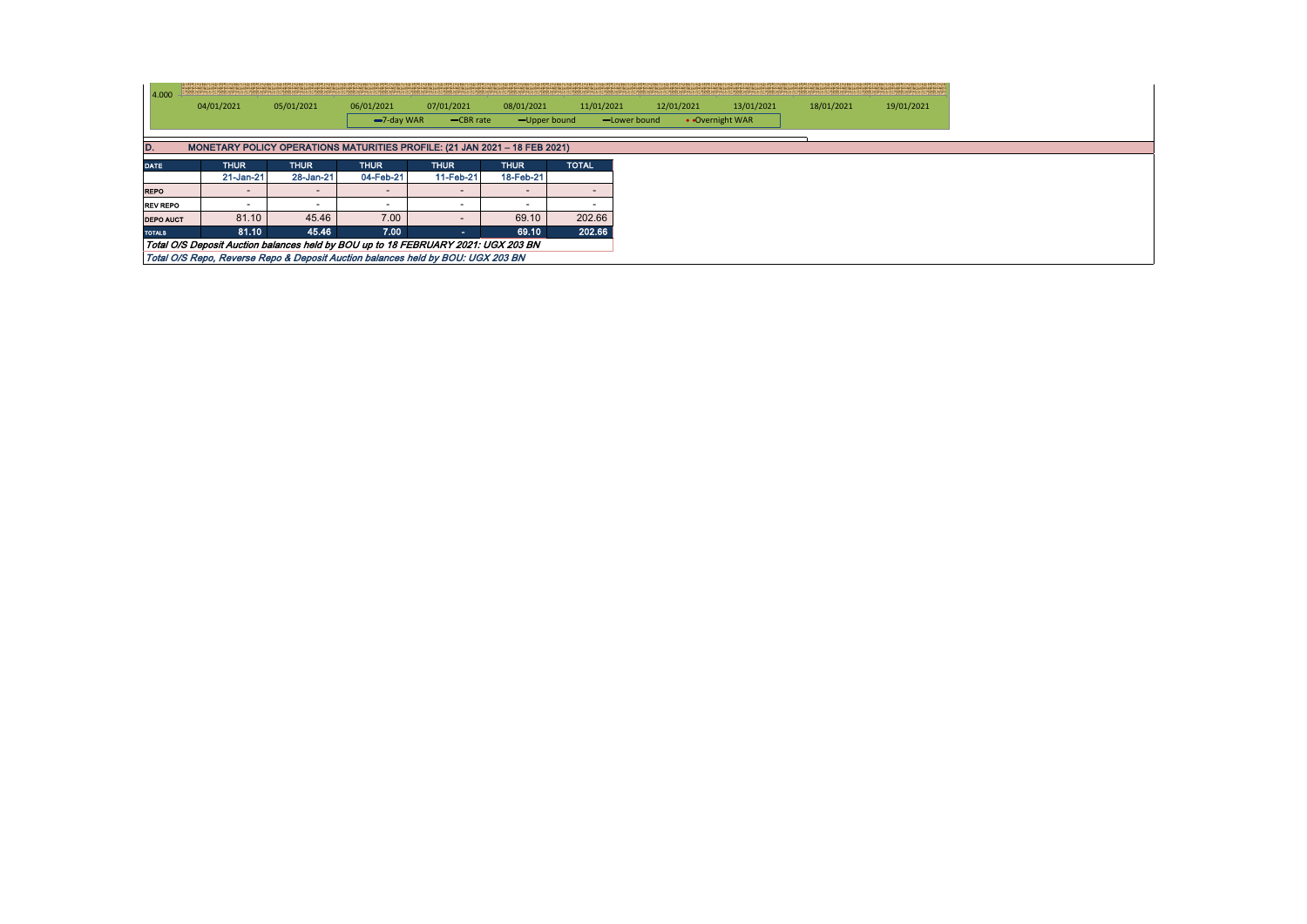| 4.000                                                                             |                                                                                 |             |                          |             |                          |              |              |            |                 |            |            |
|-----------------------------------------------------------------------------------|---------------------------------------------------------------------------------|-------------|--------------------------|-------------|--------------------------|--------------|--------------|------------|-----------------|------------|------------|
|                                                                                   | 04/01/2021                                                                      | 05/01/2021  | 06/01/2021               | 07/01/2021  | 08/01/2021               | 11/01/2021   |              | 12/01/2021 | 13/01/2021      | 18/01/2021 | 19/01/2021 |
|                                                                                   |                                                                                 |             | $-7$ -day WAR            | $-CBR$ rate | -Upper bound             |              | -Lower bound |            | • Overnight WAR |            |            |
|                                                                                   |                                                                                 |             |                          |             |                          |              |              |            |                 |            |            |
| MONETARY POLICY OPERATIONS MATURITIES PROFILE: (21 JAN 2021 - 18 FEB 2021)<br>D.  |                                                                                 |             |                          |             |                          |              |              |            |                 |            |            |
| <b>DATE</b>                                                                       | <b>THUR</b>                                                                     | <b>THUR</b> | <b>THUR</b>              | <b>THUR</b> | <b>THUR</b>              | <b>TOTAL</b> |              |            |                 |            |            |
|                                                                                   | 21-Jan-21                                                                       | 28-Jan-21   | 04-Feb-21                | 11-Feb-21   | 18-Feb-21                |              |              |            |                 |            |            |
| <b>REPO</b>                                                                       |                                                                                 |             | $\overline{\phantom{0}}$ |             | $\overline{\phantom{a}}$ |              |              |            |                 |            |            |
| <b>REV REPO</b>                                                                   |                                                                                 |             |                          |             | -                        |              |              |            |                 |            |            |
| <b>DEPO AUCT</b>                                                                  | 81.10                                                                           | 45.46       | 7.00                     |             | 69.10                    | 202.66       |              |            |                 |            |            |
| <b>TOTALS</b>                                                                     | 81.10                                                                           | 45.46       | 7.00                     |             | 69.10                    | 202.66       |              |            |                 |            |            |
| Total O/S Deposit Auction balances held by BOU up to 18 FEBRUARY 2021: UGX 203 BN |                                                                                 |             |                          |             |                          |              |              |            |                 |            |            |
|                                                                                   | Total O/S Repo, Reverse Repo & Deposit Auction balances held by BOU: UGX 203 BN |             |                          |             |                          |              |              |            |                 |            |            |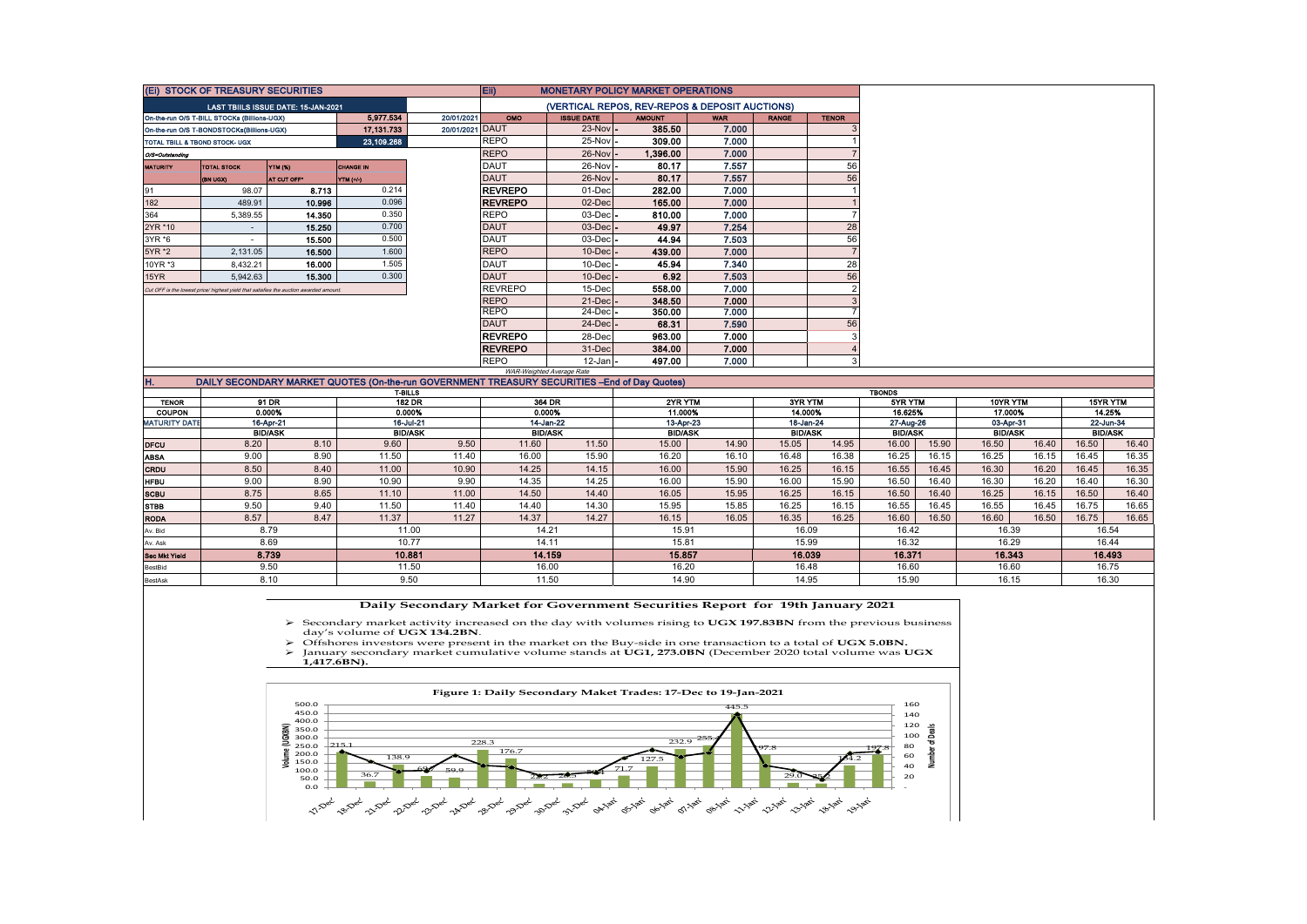| (Ei) STOCK OF TREASURY SECURITIES                                                                     |                                                                                       |             |             |                 | Eii)<br><b>MONETARY POLICY MARKET OPERATIONS</b> |                                                |               |            |              |              |
|-------------------------------------------------------------------------------------------------------|---------------------------------------------------------------------------------------|-------------|-------------|-----------------|--------------------------------------------------|------------------------------------------------|---------------|------------|--------------|--------------|
|                                                                                                       | LAST TBIILS ISSUE DATE: 15-JAN-2021                                                   |             |             |                 |                                                  | (VERTICAL REPOS, REV-REPOS & DEPOSIT AUCTIONS) |               |            |              |              |
| 5.977.534<br>20/01/2021<br>On-the-run O/S T-BILL STOCKs (Billions-UGX)                                |                                                                                       |             |             |                 | <b>OMO</b>                                       | <b>ISSUE DATE</b>                              | <b>AMOUNT</b> | <b>WAR</b> | <b>RANGE</b> | <b>TENOR</b> |
|                                                                                                       | On-the-run O/S T-BONDSTOCKs(Billions-UGX)                                             |             | 17.131.733  | 20/01/2021 DAUT |                                                  | $23-Nov -$                                     | 385.50        | 7.000      |              |              |
| 23,109.268<br>TOTAL TBILL & TBOND STOCK- UGX                                                          |                                                                                       |             | REPO        | 25-Nov -        | 309.00                                           | 7.000                                          |               |            |              |              |
| O/S=Outstanding                                                                                       |                                                                                       |             | <b>REPO</b> | $26$ -Nov $-$   | 1,396.00                                         | 7.000                                          |               |            |              |              |
| <b>YTM (%)</b><br><b>CHANGE IN</b><br><b>MATURITY</b><br><b>TOTAL STOCK</b>                           |                                                                                       |             |             | <b>DAUT</b>     | $26-Nov -$                                       | 80.17                                          | 7.557         |            | 56           |              |
|                                                                                                       | (BN UQX)                                                                              | AT CUT OFF* | YTM (+/-)   |                 | <b>DAUT</b>                                      | $26$ -Nov $\vert$ -                            | 80.17         | 7.557      |              | 56           |
| 91                                                                                                    | 98.07                                                                                 | 8.713       | 0.214       |                 | <b>REVREPO</b>                                   | 01-Dec                                         | 282.00        | 7.000      |              |              |
| 182                                                                                                   | 489.91                                                                                | 10.996      | 0.096       |                 | <b>REVREPO</b>                                   | 02-Dec                                         | 165.00        | 7.000      |              |              |
| 364                                                                                                   | 5,389.55                                                                              | 14.350      | 0.350       |                 | REPO                                             | $03$ -Dec $-$                                  | 810.00        | 7.000      |              |              |
| 2YR *10                                                                                               | $\sim$                                                                                | 15.250      | 0.700       |                 | <b>DAUT</b>                                      | $03$ -Dec $-$                                  | 49.97         | 7.254      |              | 28           |
| 3YR *6                                                                                                | $\overline{a}$                                                                        | 15.500      | 0.500       |                 | DAUT                                             | $03$ -Dec $-$                                  | 44.94         | 7.503      |              | 56           |
| 5YR *2                                                                                                | 2.131.05                                                                              | 16.500      | 1.600       |                 | <b>REPO</b>                                      | $10$ -Dec $-$                                  | 439.00        | 7.000      |              |              |
| 10YR *3                                                                                               | 8.432.21                                                                              | 16.000      | 1.505       |                 | DAUT                                             | $10$ -Dec $-$                                  | 45.94         | 7.340      |              | 28           |
| 15YR                                                                                                  | 5,942.63                                                                              | 15.300      | 0.300       |                 | <b>DAUT</b>                                      | $10$ -Dec $\vert$ -                            | 6.92          | 7.503      |              | 56           |
|                                                                                                       | Cut OFF is the lowest price/ highest yield that satisfies the auction awarded amount. |             |             |                 | <b>REVREPO</b>                                   | 15-Dec                                         | 558.00        | 7.000      |              |              |
|                                                                                                       |                                                                                       |             |             |                 | <b>REPO</b>                                      | $21$ -Dec $-$                                  | 348.50        | 7.000      |              |              |
|                                                                                                       |                                                                                       |             |             |                 | REPO                                             | 24-Dec -                                       | 350.00        | 7.000      |              |              |
|                                                                                                       |                                                                                       |             |             |                 | <b>DAUT</b>                                      | $24$ -Dec $-$                                  | 68.31         | 7.590      |              | 56           |
|                                                                                                       |                                                                                       |             |             |                 | <b>REVREPO</b>                                   | 28-Dec                                         | 963.00        | 7.000      |              |              |
|                                                                                                       |                                                                                       |             |             |                 | <b>REVREPO</b>                                   | 31-Dec                                         | 384.00        | 7.000      |              |              |
|                                                                                                       |                                                                                       |             |             |                 | REPO                                             | 12-Jan -                                       | 497.00        | 7.000      |              |              |
|                                                                                                       |                                                                                       |             |             |                 |                                                  | WAR-Weighted Average Rate                      |               |            |              |              |
| IH.<br>DAILY SECONDARY MARKET QUOTES (On-the-run GOVERNMENT TREASURY SECURITIES -- End of Day Quotes) |                                                                                       |             |             |                 |                                                  |                                                |               |            |              |              |

|                      | <b>T-BILLS</b> |                |                |           |        |                | <b>TBONDS</b>  |           |                |           |                |           |                |          |           |                |  |
|----------------------|----------------|----------------|----------------|-----------|--------|----------------|----------------|-----------|----------------|-----------|----------------|-----------|----------------|----------|-----------|----------------|--|
| <b>TENOR</b>         | 91 DR          |                | <b>182 DR</b>  |           | 364 DR |                |                | 2YR YTM   |                | 3YR YTM   |                | 5YR YTM   |                | 10YR YTM |           | 15YR YTM       |  |
| <b>COUPON</b>        | 0.000%         |                | 0.000%         |           | 0.000% |                | 11.000%        |           | 14.000%        |           | 16.625%        |           | 17.000%        |          | 14.25%    |                |  |
| <b>MATURITY DATE</b> | 16-Apr-21      |                |                | 16-Jul-21 |        | 14-Jan-22      |                | 13-Apr-23 |                | 18-Jan-24 |                | 27-Aug-26 | 03-Apr-31      |          | 22-Jun-34 |                |  |
|                      |                | <b>BID/ASK</b> | <b>BID/ASK</b> |           |        | <b>BID/ASK</b> | <b>BID/ASK</b> |           | <b>BID/ASK</b> |           | <b>BID/ASK</b> |           | <b>BID/ASK</b> |          |           | <b>BID/ASK</b> |  |
| <b>DFCU</b>          | 8.20           | 8.10           | 9.60           | 9.50      | 11.60  | 11.50          | 15.00          | 14.90     | 15.05          | 14.95     | 16.00          | 15.90     | 16.50          | 16.40    | 16.50     | 16.40          |  |
| <b>ABSA</b>          | 9.00           | 8.90           | 11.50          | 11.40     | 16.00  | 15.90          | 16.20          | 16.10     | 16.48          | 16.38     | 16.25          | 16.15     | 16.25          | 16.15    | 16.45     | 16.35          |  |
| <b>CRDU</b>          | 8.50           | 8.40           | 11.00          | 10.90     | 14.25  | 14.15          | 16.00          | 15.90     | 16.25          | 16.15     | 16.55          | 16.45     | 16.30          | 16.20    | 16.45     | 16.35          |  |
| <b>HFBU</b>          | 9.00           | 8.90           | 10.90          | 9.90      | 14.35  | 14.25          | 16.00          | 15.90     | 16.00          | 15.90     | 16.50          | 16.40     | 16.30          | 16.20    | 16.40     | 16.30          |  |
| <b>SCBU</b>          | 8.75           | 8.65           | 11.10          | 11.00     | 14.50  | 14.40          | 16.05          | 15.95     | 16.25          | 16.15     | 16.50          | 16.40     | 16.25          | 16.15    | 16.50     | 16.40          |  |
| <b>STBB</b>          | 9.50           | 9.40           | 11.50          | 11.40     | 14.40  | 14.30          | 15.95          | 15.85     | 16.25          | 16.15     | 16.55          | 16.45     | 16.55          | 16.45    | 16.75     | 16.65          |  |
| <b>RODA</b>          | 8.57           | 8.47           | 11.37          | 11.27     | 14.37  | 14.27          | 16.15          | 16.05     | 16.35          | 16.25     | 16.60          | 16.50     | 16.60          | 16.50    | 16.75     | 16.65          |  |
| Av. Bid              |                | 8.79           | 11.00          |           |        | 14.21          | 15.91          |           | 16.09          |           | 16.42          |           | 16.39          |          |           | 16.54          |  |
| Av. Ask              | 8.69           |                | 10.77          |           | 14.11  |                | 15.81          |           | 15.99          |           | 16.32          |           | 16.29          |          | 16.44     |                |  |
| <b>Sec Mkt Yield</b> | 8.739          |                | 10.881         |           | 14.159 |                | 15.857         |           | 16.039         |           | 16.371         |           | 16.343         |          | 16.493    |                |  |
| BestBid              | 9.50           |                |                | 11.50     |        | 16.00          | 16.20          |           | 16.48          |           | 16.60          |           | 16.60          |          | 16.75     |                |  |
| BestAsk              |                | 8.10           | 9.50           |           |        | 11.50          | 14.90          |           | 14.95          |           | 15.90          |           | 16.15          |          |           | 16.30          |  |

 **Daily Secondary Market for Government Securities Report for 19th January 2021**

Secondary market activity increased on the day with volumes rising to **UGX 197.83BN** from the previous business day's volume of **UGX 134.2BN**.

> Offshores investors were present in the market on the Buy-side in one transaction to a total of **UGX 5.0BN.**<br>→ January secondary market cumulative volume stands at **UG1, 273.0BN** (December 2020 total volume was **U** January secondary market cumulative volume stands at **UG1, 273.0BN** (December 2020 total volume was **UGX**

**1,417.6BN).**